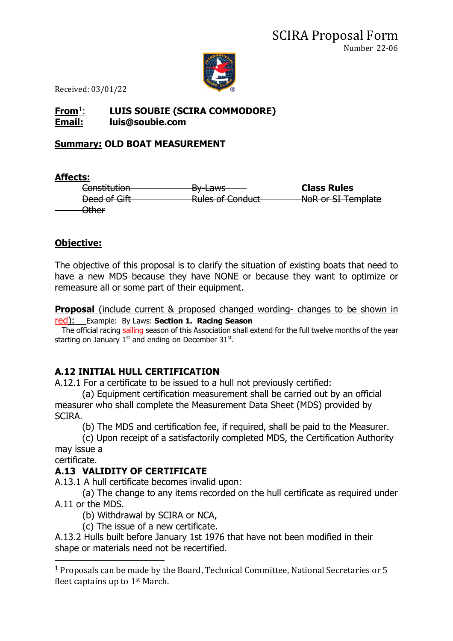

Received: 03/01/22

#### **From**[1](#page-0-0): **LUIS SOUBIE (SCIRA COMMODORE) Email: luis@soubie.com**

#### **Summary: OLD BOAT MEASUREMENT**

**Affects:**

Constitution By-Laws **Class Rules** Deed of Gift **Rules of Conduct** NoR or SI Template Other

## **Objective:**

The objective of this proposal is to clarify the situation of existing boats that need to have a new MDS because they have NONE or because they want to optimize or remeasure all or some part of their equipment.

**Proposal** (include current & proposed changed wording- changes to be shown in red): Example: By Laws: **Section 1. Racing Season**

The official racing sailing season of this Association shall extend for the full twelve months of the year starting on January  $1<sup>st</sup>$  and ending on December 31 $<sup>st</sup>$ .</sup>

## **A.12 INITIAL HULL CERTIFICATION**

A.12.1 For a certificate to be issued to a hull not previously certified:

(a) Equipment certification measurement shall be carried out by an official measurer who shall complete the Measurement Data Sheet (MDS) provided by SCIRA.

(b) The MDS and certification fee, if required, shall be paid to the Measurer.

(c) Upon receipt of a satisfactorily completed MDS, the Certification Authority may issue a

certificate.

## **A.13 VALIDITY OF CERTIFICATE**

A.13.1 A hull certificate becomes invalid upon:

(a) The change to any items recorded on the hull certificate as required under A.11 or the MDS.

(b) Withdrawal by SCIRA or NCA,

(c) The issue of a new certificate.

A.13.2 Hulls built before January 1st 1976 that have not been modified in their shape or materials need not be recertified.

<span id="page-0-0"></span> $1$  Proposals can be made by the Board, Technical Committee, National Secretaries or 5 fleet captains up to 1st March.